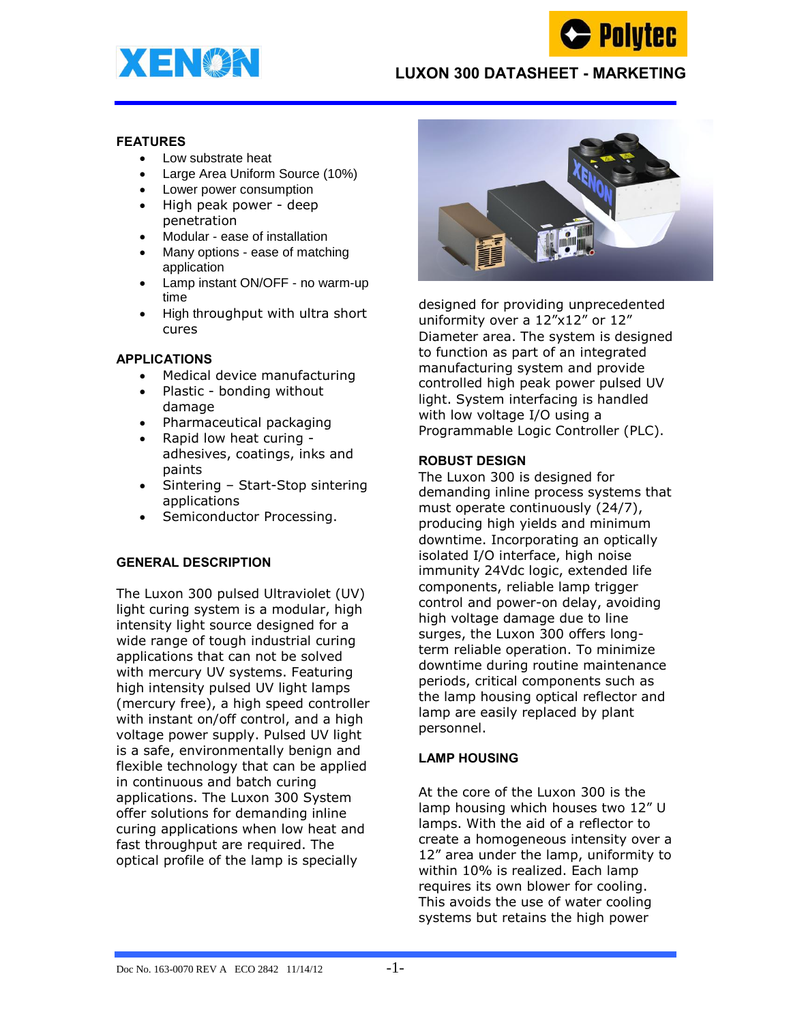



## **LUXON 300 DATASHEET - MARKETING**

#### **FEATURES**

- Low substrate heat
- Large Area Uniform Source (10%)
- Lower power consumption
- High peak power deep penetration
- Modular ease of installation
- Many options ease of matching application
- Lamp instant ON/OFF no warm-up time
- High throughput with ultra short cures

### **APPLICATIONS**

- Medical device manufacturing
- Plastic bonding without damage
- Pharmaceutical packaging
- Rapid low heat curing -
- adhesives, coatings, inks and paints
- Sintering Start-Stop sintering applications
- Semiconductor Processing.

### **GENERAL DESCRIPTION**

The Luxon 300 pulsed Ultraviolet (UV) light curing system is a modular, high intensity light source designed for a wide range of tough industrial curing applications that can not be solved with mercury UV systems. Featuring high intensity pulsed UV light lamps (mercury free), a high speed controller with instant on/off control, and a high voltage power supply. Pulsed UV light is a safe, environmentally benign and flexible technology that can be applied in continuous and batch curing applications. The Luxon 300 System offer solutions for demanding inline curing applications when low heat and fast throughput are required. The optical profile of the lamp is specially



designed for providing unprecedented uniformity over a 12"x12" or 12" Diameter area. The system is designed to function as part of an integrated manufacturing system and provide controlled high peak power pulsed UV light. System interfacing is handled with low voltage I/O using a Programmable Logic Controller (PLC).

### **ROBUST DESIGN**

The Luxon 300 is designed for demanding inline process systems that must operate continuously (24/7), producing high yields and minimum downtime. Incorporating an optically isolated I/O interface, high noise immunity 24Vdc logic, extended life components, reliable lamp trigger control and power-on delay, avoiding high voltage damage due to line surges, the Luxon 300 offers longterm reliable operation. To minimize downtime during routine maintenance periods, critical components such as the lamp housing optical reflector and lamp are easily replaced by plant personnel.

### **LAMP HOUSING**

At the core of the Luxon 300 is the lamp housing which houses two 12" U lamps. With the aid of a reflector to create a homogeneous intensity over a 12" area under the lamp, uniformity to within 10% is realized. Each lamp requires its own blower for cooling. This avoids the use of water cooling systems but retains the high power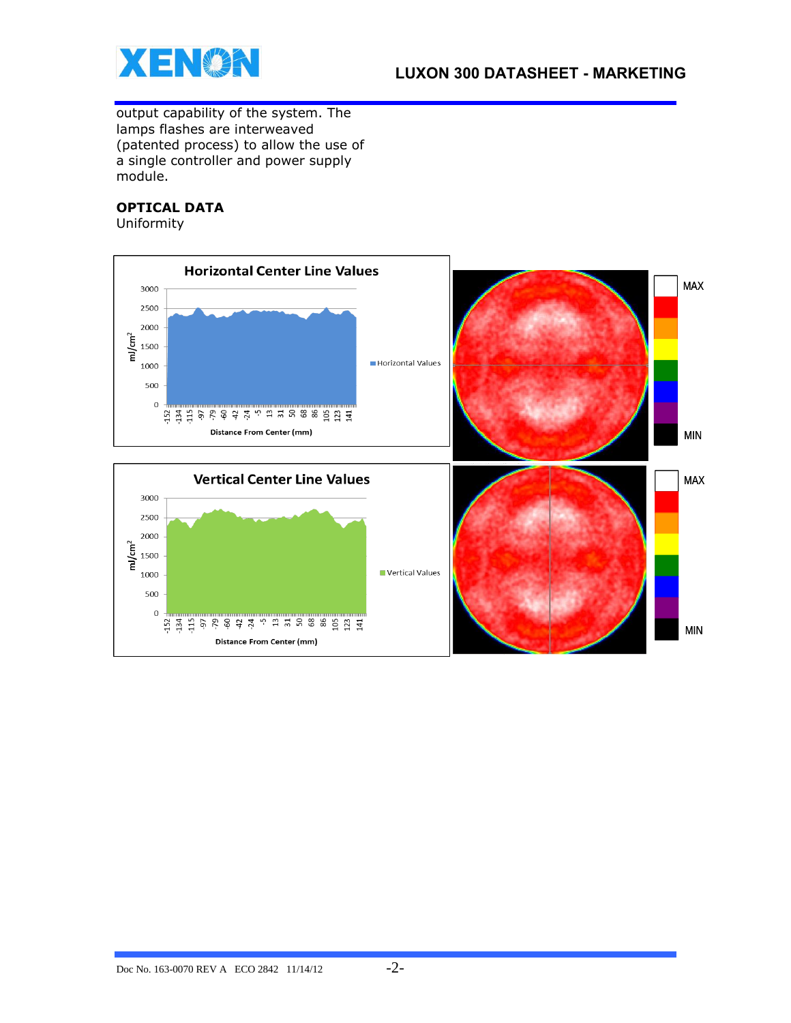

output capability of the system. The lamps flashes are interweaved (patented process) to allow the use of a single controller and power supply module.

# **OPTICAL DATA**

Uniformity

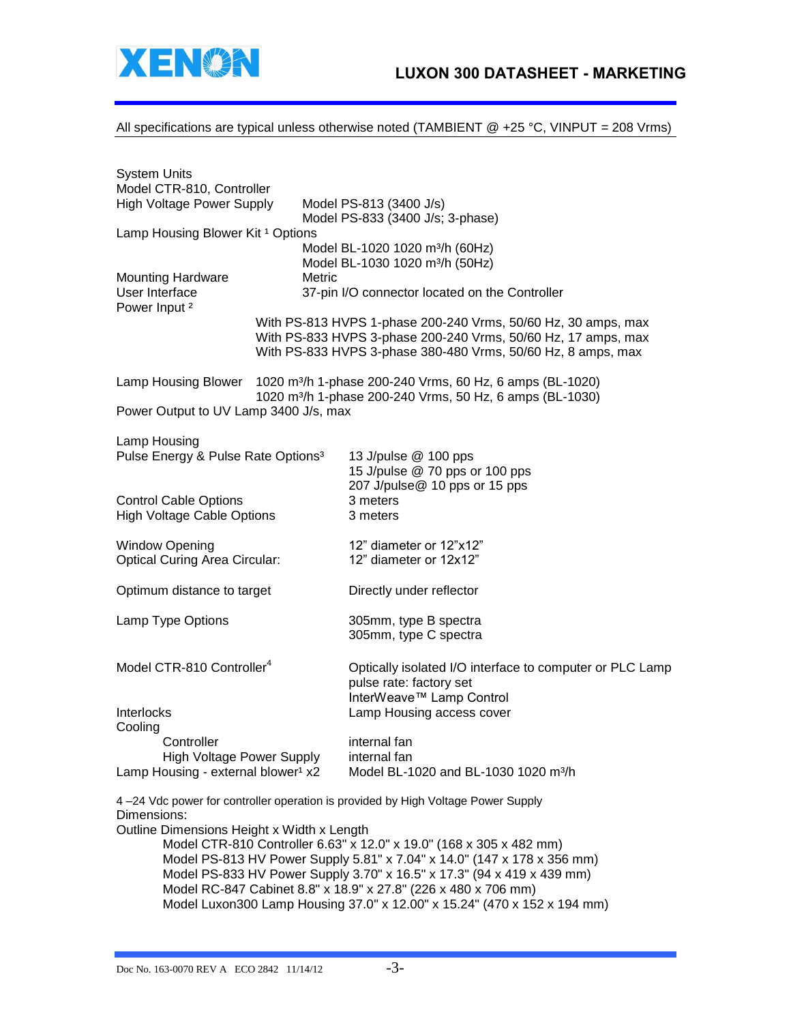

All specifications are typical unless otherwise noted (TAMBIENT  $@ +25 °C$ , VINPUT = 208 Vrms)

| <b>System Units</b><br>Model CTR-810, Controller                                          |                                                                                                                                                                  |                                                                                                                                                                                                |
|-------------------------------------------------------------------------------------------|------------------------------------------------------------------------------------------------------------------------------------------------------------------|------------------------------------------------------------------------------------------------------------------------------------------------------------------------------------------------|
| <b>High Voltage Power Supply</b>                                                          |                                                                                                                                                                  | Model PS-813 (3400 J/s)<br>Model PS-833 (3400 J/s; 3-phase)                                                                                                                                    |
| Lamp Housing Blower Kit <sup>1</sup> Options                                              |                                                                                                                                                                  |                                                                                                                                                                                                |
|                                                                                           |                                                                                                                                                                  | Model BL-1020 1020 m <sup>3</sup> /h (60Hz)                                                                                                                                                    |
| <b>Mounting Hardware</b>                                                                  | Metric                                                                                                                                                           | Model BL-1030 1020 m <sup>3</sup> /h (50Hz)                                                                                                                                                    |
| User Interface<br>Power Input <sup>2</sup>                                                |                                                                                                                                                                  | 37-pin I/O connector located on the Controller                                                                                                                                                 |
|                                                                                           |                                                                                                                                                                  | With PS-813 HVPS 1-phase 200-240 Vrms, 50/60 Hz, 30 amps, max<br>With PS-833 HVPS 3-phase 200-240 Vrms, 50/60 Hz, 17 amps, max<br>With PS-833 HVPS 3-phase 380-480 Vrms, 50/60 Hz, 8 amps, max |
|                                                                                           | Lamp Housing Blower 1020 m <sup>3</sup> /h 1-phase 200-240 Vrms, 60 Hz, 6 amps (BL-1020)<br>1020 m <sup>3</sup> /h 1-phase 200-240 Vrms, 50 Hz, 6 amps (BL-1030) |                                                                                                                                                                                                |
| Power Output to UV Lamp 3400 J/s, max                                                     |                                                                                                                                                                  |                                                                                                                                                                                                |
| Lamp Housing<br>Pulse Energy & Pulse Rate Options <sup>3</sup>                            |                                                                                                                                                                  | 13 J/pulse @ 100 pps<br>15 J/pulse @ 70 pps or 100 pps                                                                                                                                         |
| <b>Control Cable Options</b><br><b>High Voltage Cable Options</b>                         |                                                                                                                                                                  | 207 J/pulse@ 10 pps or 15 pps<br>3 meters<br>3 meters                                                                                                                                          |
| <b>Window Opening</b><br><b>Optical Curing Area Circular:</b>                             |                                                                                                                                                                  | 12" diameter or 12"x12"<br>12" diameter or 12x12"                                                                                                                                              |
| Optimum distance to target                                                                |                                                                                                                                                                  | Directly under reflector                                                                                                                                                                       |
| Lamp Type Options                                                                         |                                                                                                                                                                  | 305mm, type B spectra<br>305mm, type C spectra                                                                                                                                                 |
| Model CTR-810 Controller <sup>4</sup>                                                     |                                                                                                                                                                  | Optically isolated I/O interface to computer or PLC Lamp<br>pulse rate: factory set<br>InterWeave™ Lamp Control                                                                                |
| Interlocks<br>Cooling                                                                     |                                                                                                                                                                  | Lamp Housing access cover                                                                                                                                                                      |
| Controller<br>High Voltage Power Supply<br>Lamp Housing - external blower <sup>1</sup> x2 |                                                                                                                                                                  | internal fan<br>internal fan<br>Model BL-1020 and BL-1030 1020 m <sup>3</sup> /h                                                                                                               |

4 –24 Vdc power for controller operation is provided by High Voltage Power Supply Dimensions:

Outline Dimensions Height x Width x Length

Model CTR-810 Controller 6.63" x 12.0" x 19.0" (168 x 305 x 482 mm) Model PS-813 HV Power Supply 5.81" x 7.04" x 14.0" (147 x 178 x 356 mm) Model PS-833 HV Power Supply 3.70" x 16.5" x 17.3" (94 x 419 x 439 mm) Model RC-847 Cabinet 8.8" x 18.9" x 27.8" (226 x 480 x 706 mm) Model Luxon300 Lamp Housing 37.0" x 12.00" x 15.24" (470 x 152 x 194 mm)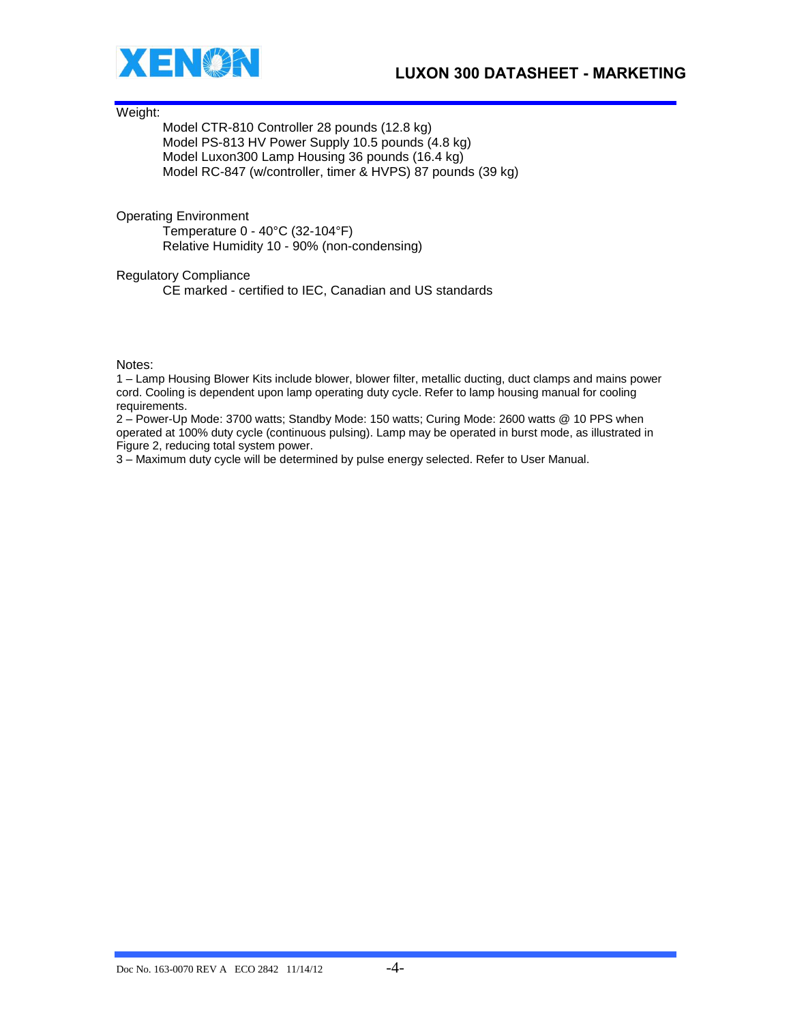



Weight:

Model CTR-810 Controller 28 pounds (12.8 kg) Model PS-813 HV Power Supply 10.5 pounds (4.8 kg) Model Luxon300 Lamp Housing 36 pounds (16.4 kg) Model RC-847 (w/controller, timer & HVPS) 87 pounds (39 kg)

Operating Environment Temperature 0 - 40°C (32-104°F)

Relative Humidity 10 - 90% (non-condensing)

Regulatory Compliance

CE marked - certified to IEC, Canadian and US standards

Notes:

1 – Lamp Housing Blower Kits include blower, blower filter, metallic ducting, duct clamps and mains power cord. Cooling is dependent upon lamp operating duty cycle. Refer to lamp housing manual for cooling requirements.

2 – Power-Up Mode: 3700 watts; Standby Mode: 150 watts; Curing Mode: 2600 watts @ 10 PPS when operated at 100% duty cycle (continuous pulsing). Lamp may be operated in burst mode, as illustrated in Figure 2, reducing total system power.

3 – Maximum duty cycle will be determined by pulse energy selected. Refer to User Manual.